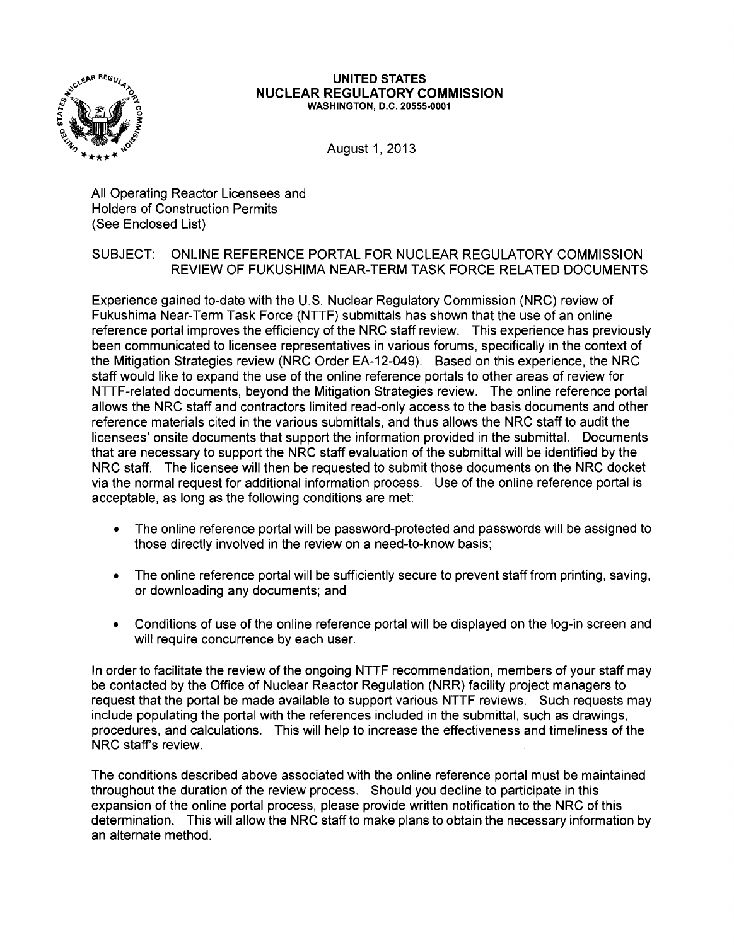

#### UNITED STATES NUCLEAR REGULATORY COMMISSION WASHINGTON, D.C. 20555-0001

August 1, 2013

All Operating Reactor Licensees and Holders of Construction Permits (See Enclosed List)

# SUBJECT: ONLINE REFERENCE PORTAL FOR NUCLEAR REGULATORY COMMISSION REVIEW OF FUKUSHIMA NEAR-TERM TASK FORCE RELATED DOCUMENTS

Experience gained to-date with the U.S. Nuclear Regulatory Commission (NRC) review of Fukushima Near-Term Task Force (NTrF) submittals has shown that the use of an online reference portal improves the efficiency of the NRC staff review. This experience has previously been communicated to licensee representatives in various forums, specifically in the context of the Mitigation Strategies review (NRC Order EA-12-049). Based on this experience, the NRC staff would like to expand the use of the online reference portals to other areas of review for NTrF-related documents, beyond the Mitigation Strategies review. The online reference portal allows the NRC staff and contractors limited read-only access to the basis documents and other reference materials cited in the various submittals, and thus allows the NRC staff to audit the licensees' onsite documents that support the information provided in the submittal. Documents that are necessary to support the NRC staff evaluation of the submittal will be identified by the NRC staff. The licensee will then be requested to submit those documents on the NRC docket via the normal request for additional information process. Use of the online reference portal is acceptable, as long as the following conditions are met:

- The online reference portal will be password-protected and passwords will be assigned to those directly involved in the review on a need-to-know basis;
- The online reference portal will be sufficiently secure to prevent staff from printing, saving, or downloading any documents; and
- Conditions of use of the online reference portal will be displayed on the log-in screen and will require concurrence by each user.

In order to facilitate the review of the ongoing NTTF recommendation, members of your staff may be contacted by the Office of Nuclear Reactor Regulation (NRR) facility project managers to request that the portal be made available to support various NTTF reviews. Such requests may include populating the portal with the references included in the submittal, such as drawings, procedures, and calculations. This will help to increase the effectiveness and timeliness of the NRC staff's review.

The conditions described above associated with the online reference portal must be maintained throughout the duration of the review process. Should you decline to participate in this expansion of the online portal process, please provide written notification to the NRC of this determination. This will allow the NRC staff to make plans to obtain the necessary information by an alternate method.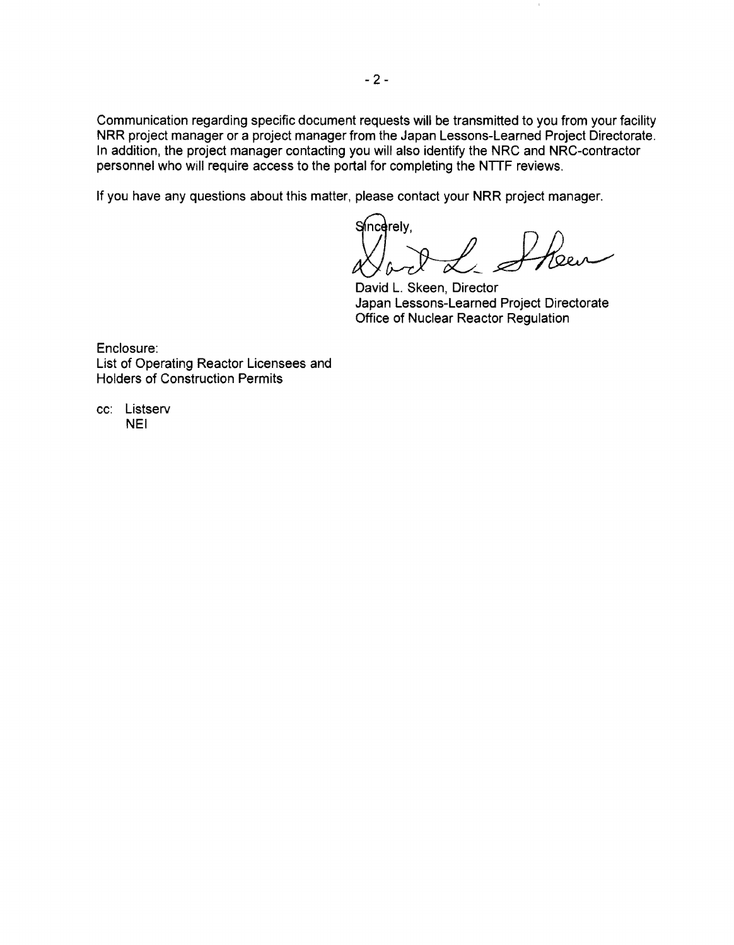Communication regarding specific document requests will be transmitted to you from your facility NRR project manager or a project manager from the Japan Lessons-Learned Project Directorate. In addition, the project manager contacting you will also identify the NRC and NRC-contractor personnel who will require access to the portal for completing the **NrrF** reviews.

If you have any questions about this matter, please contact your NRR project manager.

Sincerely, Heu

 $\bar{1}$ 

David L. Skeen, Director Japan Lessons-Learned Project Directorate Office of Nuclear Reactor Regulation

Enclosure: List of Operating Reactor Licensees and Holders of Construction Permits

cc: Listserv NEI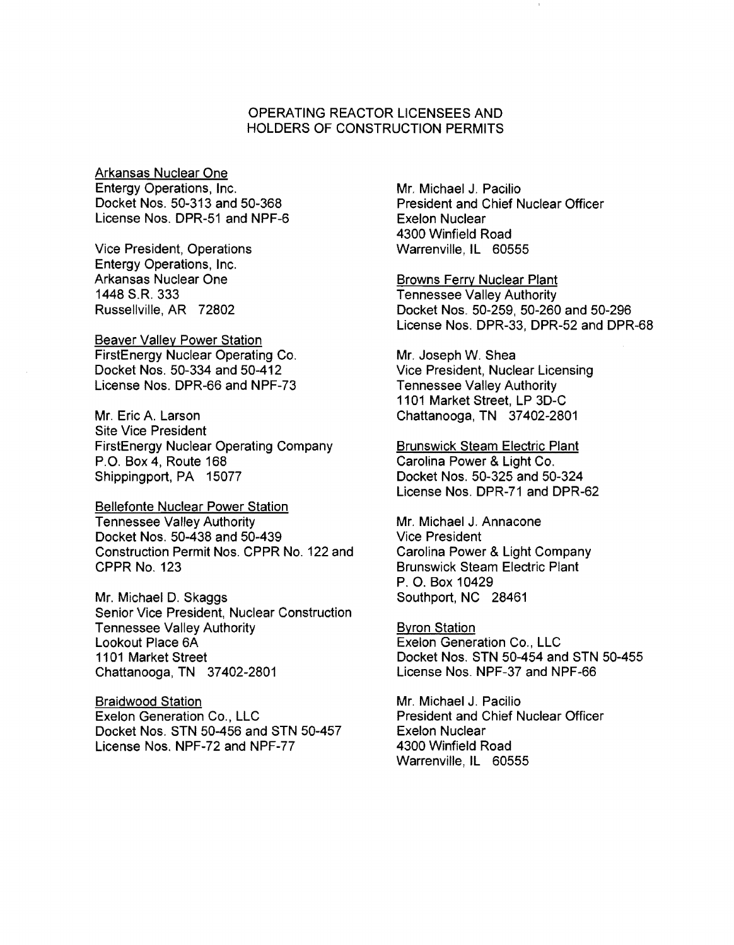# OPERATING REACTOR LICENSEES AND HOLDERS OF CONSTRUCTION PERMITS

Arkansas Nuclear One Entergy Operations, Inc. Docket Nos. 50-313 and 50-368 License Nos. DPR-51 and NPF-6

Vice President, Operations Entergy Operations, Inc. Arkansas Nuclear One 1448 S.R. 333 Russellville, AR 72802

Beaver Valley Power Station FirstEnergy Nuclear Operating Co. Docket Nos. 50-334 and 50-412 License Nos. DPR-66 and NPF-73

Mr. Eric A. Larson Site Vice President FirstEnergy Nuclear Operating Company P.O. Box 4, Route 168 Shippingport, PA 15077

Bellefonte Nuclear Power Station Tennessee Valley Authority Docket Nos. 50-438 and 50-439 Construction Permit Nos. CPPR No. 122 and CPPR No. 123

Mr. Michael D. Skaggs Senior Vice President, Nuclear Construction Tennessee Valley Authority Lookout Place 6A 1101 Market Street Chattanooga, TN 37402-2801

Braidwood Station Exelon Generation Co., LLC Docket Nos. STN 50-456 and STN 50-457 License Nos. NPF-72 and NPF-77

Mr. Michael J. Pacilio President and Chief Nuclear Officer Exelon Nuclear 4300 Winfield Road Warrenville, IL 60555

Browns Ferry Nuclear Plant Tennessee Valley Authority Docket Nos. 50-259, 50-260 and 50-296 License Nos. DPR-33, DPR-52 and DPR-68

Mr. Joseph W. Shea Vice President, Nuclear Licensing Tennessee Valley Authority 1101 Market Street, LP 3D-C Chattanooga, TN 37402-2801

Brunswick Steam Electric Plant Carolina Power & Light Co. Docket Nos. 50-325 and 50-324 License Nos. DPR-71 and DPR-62

Mr. Michael J. Annacone Vice President Carolina Power & Light Company Brunswick Steam Electric Plant P. O. Box 10429 Southport, NC 28461

Byron Station Exelon Generation Co., LLC Docket Nos. STN 50-454 and STN 50-455 License Nos. NPF-37 and NPF-66

Mr. Michael J. Pacilio President and Chief Nuclear Officer Exelon Nuclear 4300 Winfield Road Warrenville, IL 60555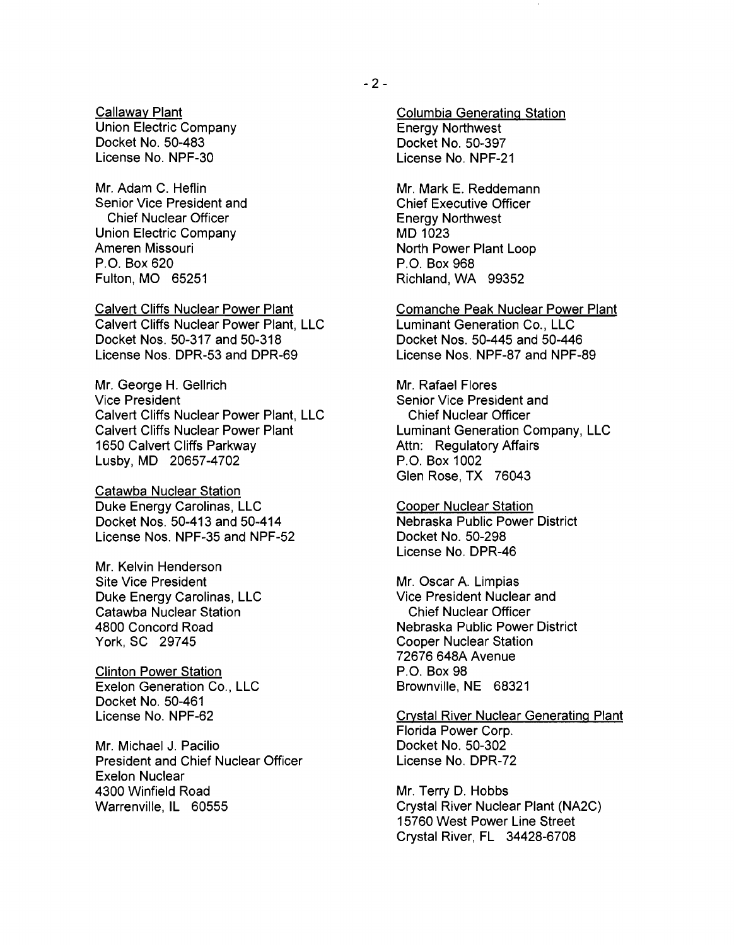Callaway Plant Union Electric Company Docket No. 50-483 License No. NPF-30

Mr. Adam C. Heflin Senior Vice President and Chief Nuclear Officer Union Electric Company Ameren Missouri P.O. Box 620 Fulton, MO 65251

Calvert Cliffs Nuclear Power Plant Calvert Cliffs Nuclear Power Plant, LLC Docket Nos. 50-317 and 50-318 License Nos. DPR-53 and DPR-69

Mr. George H. Gellrich Vice President Calvert Cliffs Nuclear Power Plant, LLC Calvert Cliffs Nuclear Power Plant 1650 Calvert Cliffs Parkway Lusby, MD 20657-4702

Catawba Nuclear Station Duke Energy Carolinas, LLC Docket Nos. 50-413 and 50-414 License Nos. NPF-35 and NPF-52

Mr. Kelvin Henderson Site Vice President Duke Energy Carolinas, LLC Catawba Nuclear Station 4800 Concord Road York, SC 29745

Clinton Power Station Exelon Generation Co., LLC Docket No. 50-461 License No. NPF-62

Mr. Michael J. Pacilio President and Chief Nuclear Officer Exelon Nuclear 4300 Winfield Road Warrenville, IL 60555

Mr. Mark E. Reddemann Chief Executive Officer Energy Northwest MD 1023 North Power Plant Loop P.O. Box 968 Richland, WA 99352

Comanche Peak Nuclear Power Plant Luminant Generation Co., LLC Docket Nos. 50-445 and 50-446 License Nos. NPF-87 and NPF-89

Mr. Rafael Flores Senior Vice President and Chief Nuclear Officer Luminant Generation Company, LLC Attn: Regulatory Affairs P.O. Box 1002 Glen Rose, TX 76043

Cooper Nuclear Station Nebraska Public Power District Docket No. 50-298 License No. DPR-46

Mr. Oscar A. Limpias Vice President Nuclear and Chief Nuclear Officer Nebraska Public Power District Cooper Nuclear Station 72676 648A Avenue P.O. Box 98 Brownville, NE 68321

Crystal River Nuclear Generating Plant Florida Power Corp. Docket No. 50-302 License No. DPR-72

Mr. Terry D. Hobbs Crystal River Nuclear Plant (NA2C) 15760 West Power Line Street Crystal River, FL 34428-6708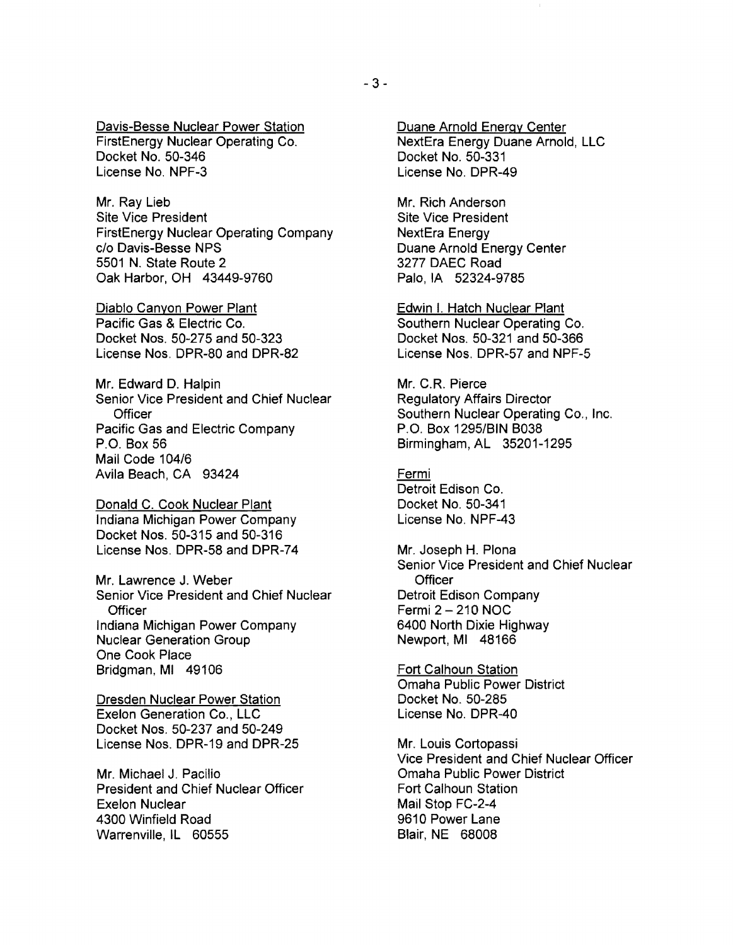Davis-Besse Nuclear Power Station FirstEnergy Nuclear Operating Co. Docket No. 50-346 License No. NPF-3

Mr. Ray Lieb Site Vice President FirstEnergy Nuclear Operating Company c/o Davis-Besse NPS 5501 N. State Route 2 Oak Harbor, OH 43449-9760

Diablo Canyon Power Plant Pacific Gas & Electric Co. Docket Nos. 50-275 and 50-323 License Nos. DPR-80 and DPR-82

Mr. Edward D. Halpin Senior Vice President and Chief Nuclear **Officer** Pacific Gas and Electric Company P.O. Box 56 Mail Code 104/6 Avila Beach, CA 93424

Donald C. Cook Nuclear Plant Indiana Michigan Power Company Docket Nos. 50-315 and 50-316 License Nos. DPR-58 and DPR-74

Mr. Lawrence J. Weber Senior Vice President and Chief Nuclear **Officer** Indiana Michigan Power Company Nuclear Generation Group One Cook Place Bridgman, MI 49106

Dresden Nuclear Power Station Exelon Generation Co., LLC Docket Nos. 50-237 and 50-249 License Nos. DPR-19 and DPR-25

Mr. Michael J. Pacilio President and Chief Nuclear Officer Exelon Nuclear 4300 Winfield Road Warrenville, IL 60555

Duane Arnold Energy Center NextEra Energy Duane Arnold, LLC Docket No. 50-331 License No. DPR-49

Mr. Rich Anderson Site Vice President NextEra Energy Duane Arnold Energy Center 3277 DAEC Road Palo, IA 52324-9785

Edwin I. Hatch Nuclear Plant Southern Nuclear Operating Co. Docket Nos. 50-321 and 50-366 License Nos. DPR-57 and NPF-5

Mr. C.R. Pierce Regulatory Affairs Director Southern Nuclear Operating Co., Inc. P.O. Box 1295/BIN B038 Birmingham, AL 35201-1295

Fermi Detroit Edison Co. Docket No. 50-341 License No. NPF-43

Mr. Joseph H. Plona Senior Vice President and Chief Nuclear **Officer** Detroit Edison Company Fermi 2 - 210 NOC 6400 North Dixie Highway Newport, MI 48166

Fort Calhoun Station Omaha Public Power District Docket No. 50-285 License No. DPR-40

Mr. Louis Cortopassi Vice President and Chief Nuclear Officer Omaha Public Power District Fort Calhoun Station Mail Stop FC-2-4 9610 Power Lane Blair, NE 68008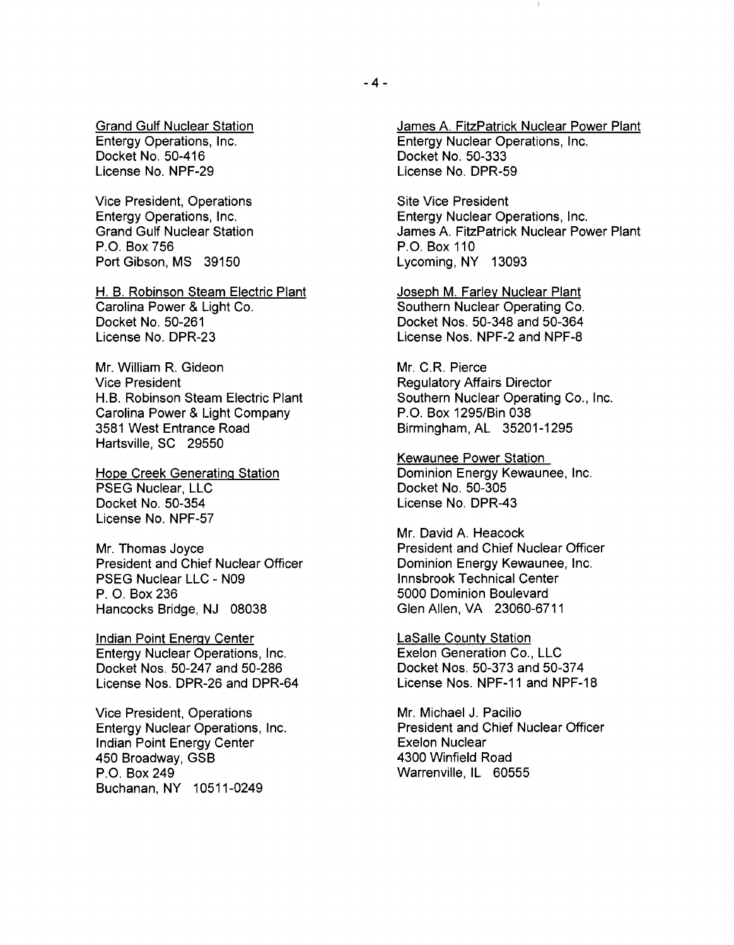Grand Gulf Nuclear Station Entergy Operations, Inc. Docket No. 50-416 License No. NPF-29

Vice President, Operations Entergy Operations, Inc. Grand Gulf Nuclear Station P.O. Box 756 Port Gibson, MS 39150

H. B. Robinson Steam Electric Plant Carolina Power & Light Co. Docket No. 50-261 License No. DPR-23

Mr. William R. Gideon Vice President H.B. Robinson Steam Electric Plant Carolina Power & Light Company 3581 West Entrance Road Hartsville, SC 29550

Hope Creek Generating Station PSEG Nuclear, LLC Docket No. 50-354 License No. NPF-57

Mr. Thomas Joyce President and Chief Nuclear Officer PSEG Nuclear LLC - N09 P. O. Box 236 Hancocks Bridge, NJ 08038

Indian Point Energy Center Entergy Nuclear Operations, Inc. Docket Nos. 50-247 and 50-286 License Nos. DPR-26 and DPR-64

Vice President, Operations Entergy Nuclear Operations, Inc. Indian Point Energy Center 450 Broadway, GSB P.O. Box 249 Buchanan, NY 10511-0249

James A. FitzPatrick Nuclear Power Plant Entergy Nuclear Operations, Inc. Docket No. 50-333 License No. DPR-59

Site Vice President Entergy Nuclear Operations, Inc. James A. FitzPatrick Nuclear Power Plant P.O. Box 110 Lycoming, NY 13093

Joseph M. Farley Nuclear Plant Southern Nuclear Operating Co. Docket Nos. 50-348 and 50-364 License Nos. NPF-2 and NPF-8

Mr. C.R. Pierce Regulatory Affairs Director Southern Nuclear Operating Co., Inc. P.O. Box 1295/Bin 038 Birmingham, AL 35201-1295

Kewaunee Power Station Dominion Energy Kewaunee, Inc. Docket No. 50-305 License No. DPR-43

Mr. David A. Heacock President and Chief Nuclear Officer Dominion Energy Kewaunee, Inc. Innsbrook Technical Center 5000 Dominion Boulevard Glen Allen, VA 23060-6711

LaSalle County Station Exelon Generation Co., LLC Docket Nos. 50-373 and 50-374 License Nos. NPF-11 and NPF-18

Mr. Michael J. Pacilio President and Chief Nuclear Officer Exelon Nuclear 4300 Winfield Road Warrenville, IL 60555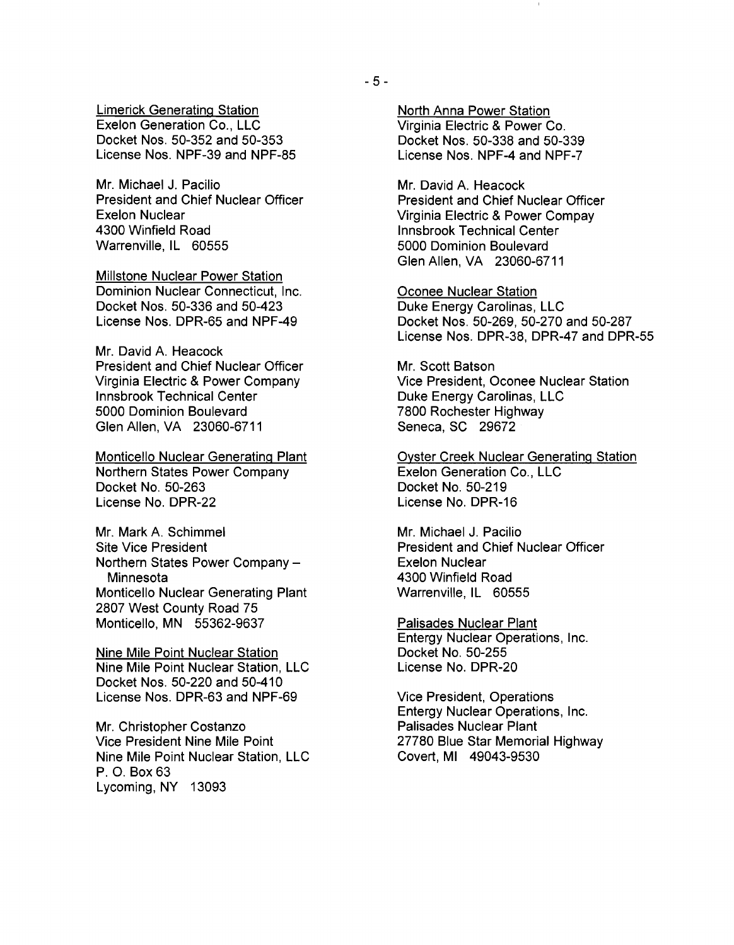Limerick Generating Station Exelon Generation Co., LLC Docket Nos. 50-352 and 50-353 License Nos. NPF-39 and NPF-85

Mr. Michael J. Pacilio President and Chief Nuclear Officer Exelon Nuclear 4300 Winfield Road Warrenville, IL 60555

Millstone Nuclear Power Station Dominion Nuclear Connecticut, Inc. Docket Nos. 50-336 and 50-423 License Nos. DPR-65 and NPF-49

Mr. David A. Heacock President and Chief Nuclear Officer Virginia Electric & Power Company Innsbrook Technical Center 5000 Dominion Boulevard Glen Allen, VA 23060-6711

Monticello Nuclear Generating Plant Northern States Power Company Docket No. 50-263 License No. DPR-22

Mr. Mark A. Schimmel Site Vice President Northern States Power Company **Minnesota** Monticello Nuclear Generating Plant 2807 West County Road 75 Monticello, MN 55362-9637

Nine Mile Point Nuclear Station Nine Mile Point Nuclear Station, LLC Docket Nos. 50-220 and 50-410 License Nos. DPR-63 and NPF-69

Mr. Christopher Costanzo Vice President Nine Mile Point Nine Mile Point Nuclear Station, LLC P. O. Box 63 Lycoming, NY 13093

North Anna Power Station Virginia Electric & Power Co. Docket Nos. 50-338 and 50-339 License Nos. NPF-4 and NPF-7

Mr. David A. Heacock President and Chief Nuclear Officer Virginia Electric & Power Compay Innsbrook Technical Center 5000 Dominion Boulevard Glen Allen, VA 23060-6711

Oconee Nuclear Station Duke Energy Carolinas, LLC Docket Nos. 50-269, 50-270 and 50-287 License Nos. DPR-38, DPR-47 and DPR-55

Mr. Scott Batson Vice President, Oconee Nuclear Station Duke Energy Carolinas, LLC 7800 Rochester Highway Seneca, SC 29672

Oyster Creek Nuclear Generating Station Exelon Generation Co., LLC Docket No. 50-219 License No. DPR-16

Mr. Michael J. Pacilio President and Chief Nuclear Officer Exelon Nuclear 4300 Winfield Road Warrenville, IL 60555

Palisades Nuclear Plant Entergy Nuclear Operations, Inc. Docket No. 50-255 License No. DPR-20

Vice President, Operations Entergy Nuclear Operations, Inc. Palisades Nuclear Plant 27780 Blue Star Memorial Highway Covert, MI 49043-9530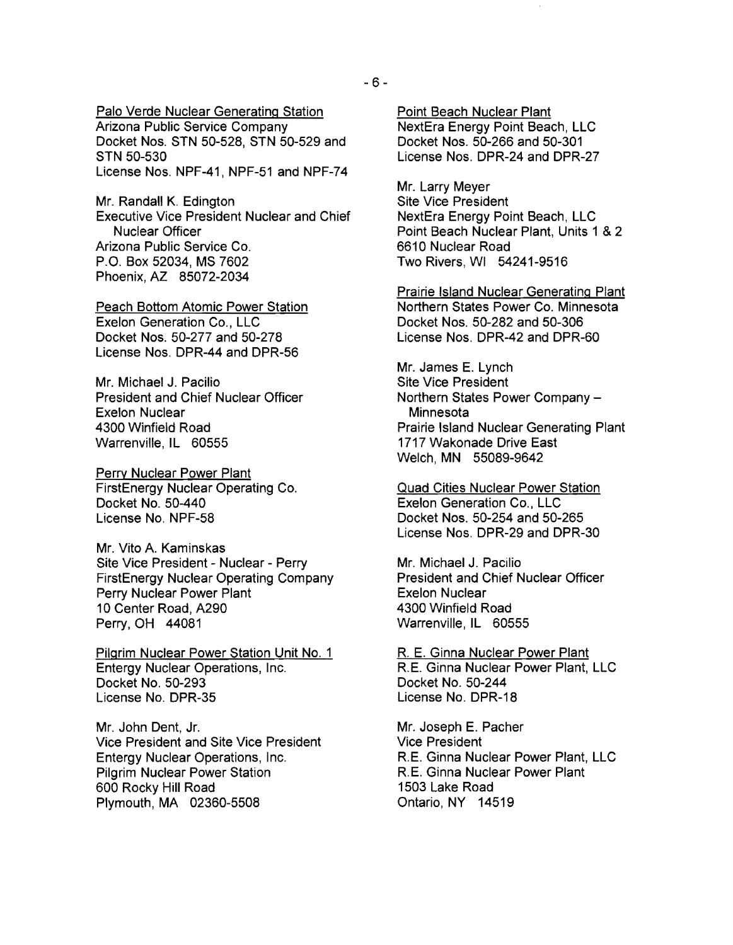Palo Verde Nuclear Generating Station Arizona Public Service Company Docket Nos. STN 50-528, STN 50-529 and STN 50-530 License Nos. NPF-41, NPF-51 and NPF-74

Mr. Randall K. Edington Executive Vice President Nuclear and Chief Nuclear Officer Arizona Public Service Co. P.O. Box 52034, MS 7602 Phoenix, AZ 85072-2034

Peach Bottom Atomic Power Station Exelon Generation Co., LLC Docket Nos. 50-277 and 50-278 License Nos. DPR-44 and DPR-56

Mr. Michael J. Pacilio President and Chief Nuclear Officer Exelon Nuclear 4300 Winfield Road Warrenville, IL 60555

**Perry Nuclear Power Plant** FirstEnergy Nuclear Operating Co. Docket No. 50-440 License No. NPF-58

Mr. Vito A. Kaminskas Site Vice President - Nuclear - Perry FirstEnergy Nuclear Operating Company Perry Nuclear Power Plant 10 Center Road, A290 Perry,OH 44081

Pilgrim Nuclear Power Station Unit No.1 Entergy Nuclear Operations, Inc. Docket No. 50-293 License No. DPR-35

Mr. John Dent, Jr. Vice President and Site Vice President Entergy Nuclear Operations, Inc. Pilgrim Nuclear Power Station 600 Rocky Hill Road Plymouth, MA 02360-5508

Point Beach Nuclear Plant NextEra Energy Point Beach, LLC Docket Nos. 50-266 and 50-301 License Nos. DPR-24 and DPR-27

Mr. Larry Meyer Site Vice President NextEra Energy Point Beach, LLC Point Beach Nuclear Plant, Units 1 &2 6610 Nuclear Road Two Rivers, WI 54241-9516

Prairie Island Nuclear Generating Plant Northern States Power Co. Minnesota Docket Nos. 50-282 and 50-306 License Nos. DPR-42 and DPR-60

Mr. James E. Lynch Site Vice President Northern States Power Company **Minnesota** Prairie Island Nuclear Generating Plant 1717 Wakonade Drive East Welch, MN 55089-9642

Quad Cities Nuclear Power Station Exelon Generation Co., LLC Docket Nos. 50-254 and 50-265 License Nos. DPR-29 and DPR-30

Mr. Michael J. Pacilio President and Chief Nuclear Officer Exelon Nuclear 4300 Winfield Road Warrenville, IL 60555

R. E. Ginna Nuclear Power Plant RE. Ginna Nuclear Power Plant, LLC Docket No. 50-244 License No. DPR-18

Mr. Joseph E. Pacher Vice President RE. Ginna Nuclear Power Plant, LLC RE. Ginna Nuclear Power Plant 1503 Lake Road Ontario, NY 14519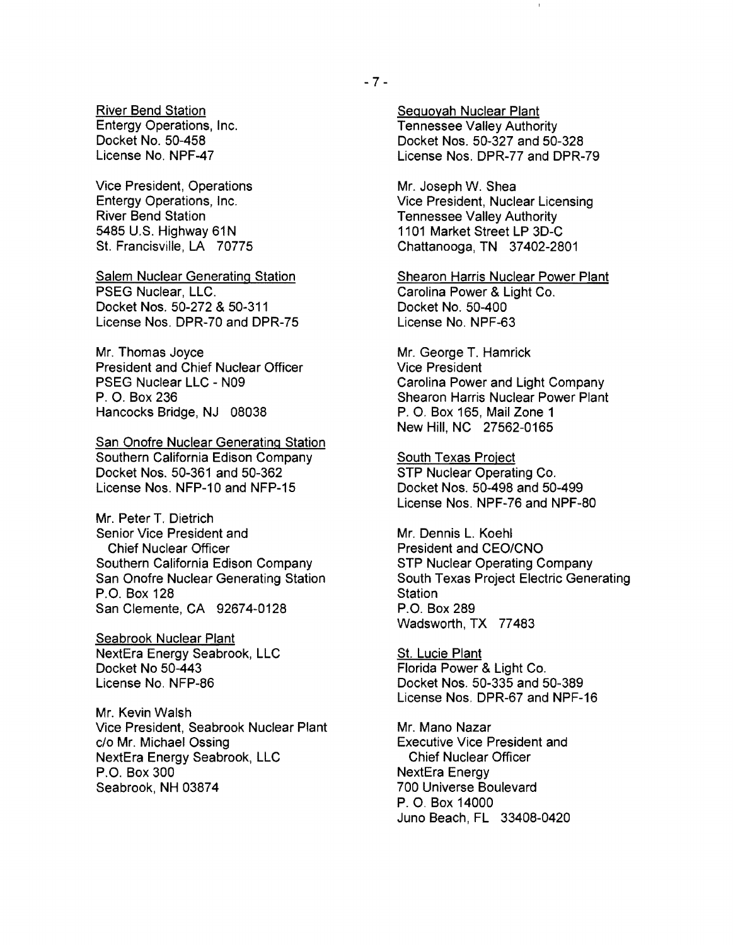Vice President, Operations Entergy Operations, Inc. River Bend Station 5485 U.S. Highway 61N St. Francisville, LA 70775

Salem Nuclear Generating Station PSEG Nuclear, LLC. Docket Nos. 50-272 & 50-311 License Nos. DPR-70 and DPR-75

Mr. Thomas Joyce President and Chief Nuclear Officer PSEG Nuclear LLC - N09 P. O. Box 236 Hancocks Bridge, NJ 08038

San Onofre Nuclear Generating Station Southern California Edison Company Docket Nos. 50-361 and 50-362 License Nos. NFP-10 and NFP-15

Mr. Peter T. Dietrich Senior Vice President and Chief Nuclear Officer Southern California Edison Company San Onofre Nuclear Generating Station P.O. Box 128 San Clemente, CA 92674-0128

Seabrook Nuclear Plant NextEra Energy Seabrook, LLC Docket No 50-443 License No. NFP-86

Mr. Kevin Walsh Vice President, Seabrook Nuclear Plant c/o Mr. Michael Ossing NextEra Energy Seabrook, LLC P.O. Box 300 Seabrook, NH 03874

Seguoyah Nuclear Plant Tennessee Valley Authority Docket Nos. 50-327 and 50-328 License Nos. DPR-77 and DPR-79

Mr. Joseph W. Shea Vice President, Nuclear Licensing Tennessee Valley Authority 1101 Market Street LP 3D-C Chattanooga, TN 37402-2801

Shearon Harris Nuclear Power Plant Carolina Power & Light Co. Docket No. 50-400 License No. NPF-63

Mr. George T. Hamrick Vice President Carolina Power and Light Company Shearon Harris Nuclear Power Plant P. O. Box 165, Mail Zone 1 New Hill, NC 27562-0165

South Texas Project STP Nuclear Operating Co. Docket Nos. 50-498 and 50-499 License Nos. NPF-76 and NPF-80

Mr. Dennis L. Koehl President and CEO/CNO STP Nuclear Operating Company South Texas Project Electric Generating **Station** P.O. Box 289 Wadsworth, TX 77483

St. Lucie Plant Florida Power & Light Co. Docket Nos. 50-335 and 50-389 License Nos. DPR-67 and NPF-16

Mr. Mano Nazar Executive Vice President and Chief Nuclear Officer NextEra Energy 700 Universe Boulevard P. O. Box 14000 Juno Beach, FL 33408-0420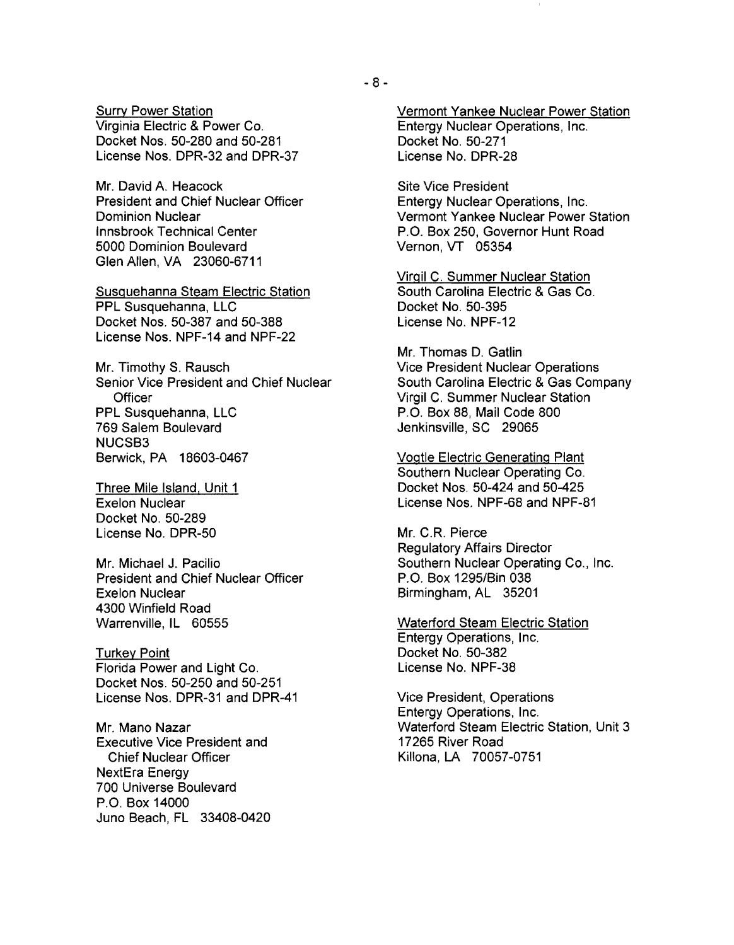**Surry Power Station** Virginia Electric & Power Co. Docket Nos. 50-280 and 50-281 License Nos. DPR-32 and DPR-37

Mr. David A. Heacock President and Chief Nuclear Officer Dominion Nuclear Innsbrook Technical Center 5000 Dominion Boulevard Glen Allen, VA 23060-6711

Susquehanna Steam Electric Station PPL Susquehanna, LLC Docket Nos. 50-387 and 50-388 License Nos. NPF-14 and NPF-22

Mr. Timothy S. Rausch Senior Vice President and Chief Nuclear **Officer** PPL Susquehanna, LLC 769 Salem Boulevard NUCSB3 Berwick, PA 18603-0467

Three Mile Island, Unit 1 Exelon Nuclear Docket No. 50-289 License No. DPR-50

Mr. Michael J. Pacilio President and Chief Nuclear Officer Exelon Nuclear 4300 Winfield Road Warrenville, IL 60555

**Turkey Point** Florida Power and Light Co. Docket Nos. 50-250 and 50-251 License Nos. DPR-31 and DPR-41

Mr. Mano Nazar Executive Vice President and Chief Nuclear Officer NextEra Energy 700 Universe Boulevard P.O. Box 14000 Juno Beach, FL 33408-0420 Vermont Yankee Nuclear Power Station Entergy Nuclear Operations, Inc. Docket No. 50-271 License No. DPR-28

Site Vice President Entergy Nuclear Operations, Inc. Vermont Yankee Nuclear Power Station P.O. Box 250, Governor Hunt Road Vernon, VT 05354

Virqil C. Summer Nuclear Station South Carolina Electric & Gas Co. Docket No. 50-395 License No. NPF-12

Mr. Thomas D. Gatlin Vice President Nuclear Operations South Carolina Electric & Gas Company Virgil C. Summer Nuclear Station P.O. Box 88, Mail Code 800 Jenkinsville, SC 29065

Vogtle Electric Generating Plant Southern Nuclear Operating Co. Docket Nos. 50-424 and 50-425 License Nos. NPF-68 and NPF-81

Mr. C.R. Pierce Regulatory Affairs Director Southern Nuclear Operating Co., Inc. P.O. Box 1295/Bin 038 Birmingham, AL 35201

Waterford Steam Electric Station Entergy Operations, Inc. Docket No. 50-382 License No. NPF-38

Vice President, Operations Entergy Operations, Inc. Waterford Steam Electric Station, Unit 3 17265 River Road Killona, LA 70057 -0751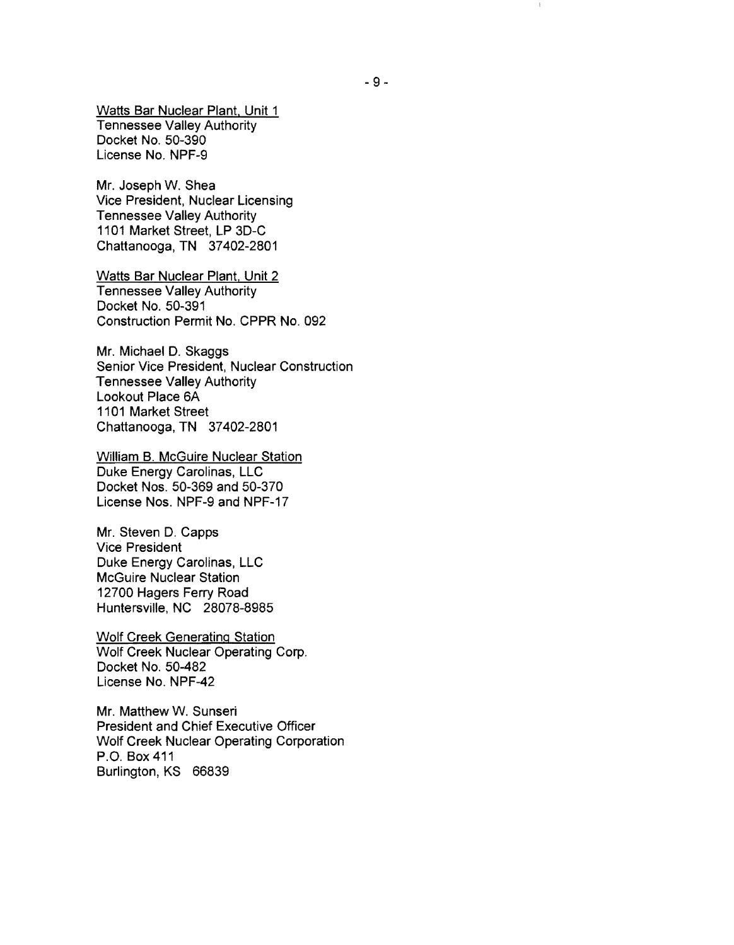Watts Bar Nuclear Plant, Unit 1 Tennessee Valley Authority Docket No. 50-390 License No. NPF-9

Mr. Joseph W. Shea Vice President, Nuclear Licensing Tennessee Valley Authority 1101 Market Street, LP 3D-C Chattanooga, TN 37402-2801

Watts Bar Nuclear Plant, Unit 2 Tennessee Valley Authority Docket No. 50-391 Construction Permit No. CPPR No. 092

Mr. Michael D. Skaggs Senior Vice President, Nuclear Construction Tennessee Valley Authority Lookout Place 6A 1101 Market Street Chattanooga, TN 37402-2801

William B. McGuire Nuclear Station Duke Energy Carolinas, LLC Docket Nos. 50-369 and 50-370 License Nos. NPF-9 and NPF-17

Mr. Steven D. Capps Vice President Duke Energy Carolinas, LLC McGuire Nuclear Station 12700 Hagers Ferry Road Huntersville, NC 28078-8985

Wolf Creek Generating Station Wolf Creek Nuclear Operating Corp. Docket No. 50-482 License No. NPF-42

Mr. Matthew W. Sunseri President and Chief Executive Officer Wolf Creek Nuclear Operating Corporation P.O. Box 411 Burlington, KS 66839

 $\mathbb{I}$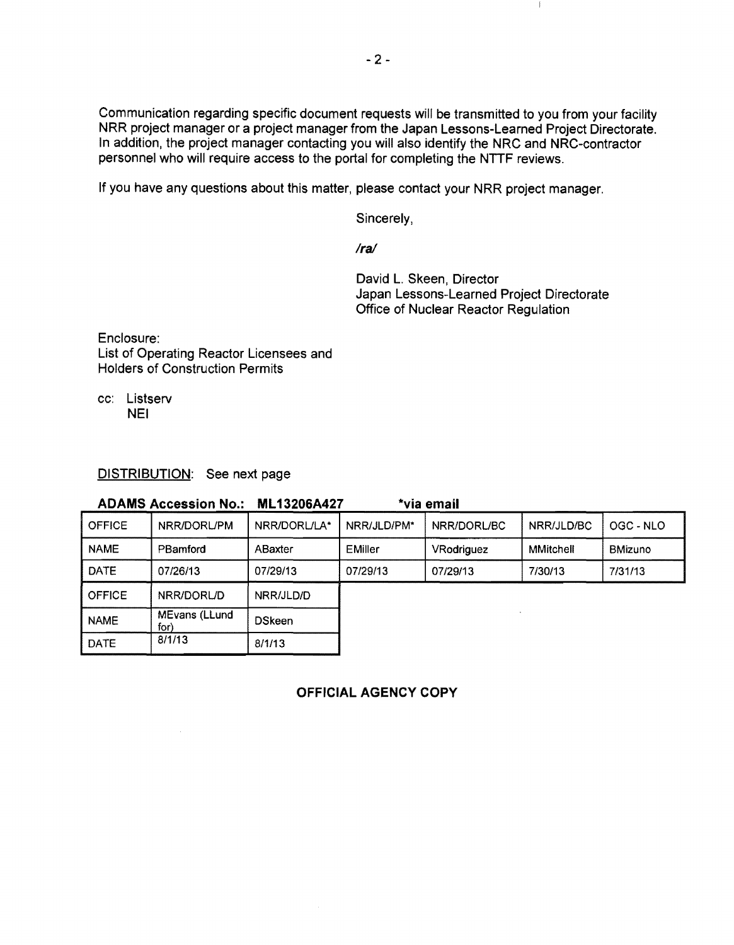Communication regarding specific document requests will be transmitted to you from your facility NRR project manager or a project manager from the Japan Lessons-Learned Project Directorate. In addition, the project manager contacting you will also identify the NRC and NRC-contractor personnel who will require access to the portal for completing the NTTF reviews.

If you have any questions about this matter, please contact your NRR project manager.

Sincerely,

*Ira!* 

David L. Skeen, Director Japan Lessons-Learned Project Directorate Office of Nuclear Reactor Regulation

-1

Enclosure: List of Operating Reactor Licensees and Holders of Construction Permits

cc: Listserv NEI

### DISTRIBUTION: See next page

| <b>ADAMS Accession No.:</b> |                       | *via email<br><b>ML13206A427</b> |             |             |                  |                |
|-----------------------------|-----------------------|----------------------------------|-------------|-------------|------------------|----------------|
| <b>OFFICE</b>               | NRR/DORL/PM           | NRR/DORL/LA*                     | NRR/JLD/PM* | NRR/DORL/BC | NRR/JLD/BC       | OGC - NLO      |
| <b>NAME</b>                 | PBamford              | ABaxter                          | EMiller     | VRodriguez  | <b>MMitchell</b> | <b>BMizuno</b> |
| <b>DATE</b>                 | 07/26/13              | 07/29/13                         | 07/29/13    | 07/29/13    | 7/30/13          | 7/31/13        |
| <b>OFFICE</b>               | NRR/DORL/D            | NRR/JLD/D                        |             |             |                  |                |
| <b>NAME</b>                 | MEvans (LLund<br>for) | <b>DSkeen</b>                    |             |             |                  |                |
| <b>DATE</b>                 | 8/1/13                | 8/1/13                           |             |             |                  |                |

OFFICIAL AGENCY COPY